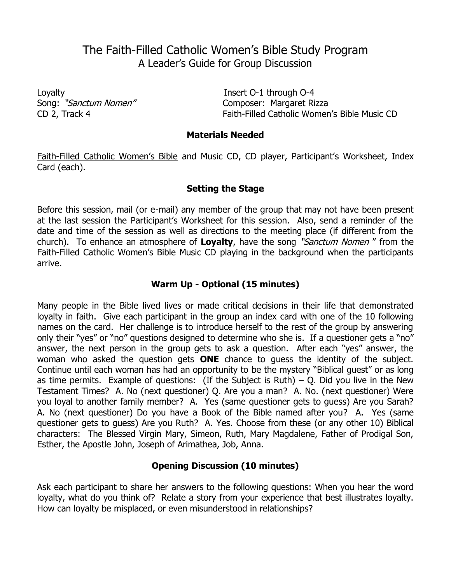# The Faith-Filled Catholic Women's Bible Study Program A Leader's Guide for Group Discussion

Loyalty Insert O-1 through O-4

Song: "Sanctum Nomen" Composer: Margaret Rizza CD 2, Track 4 Faith-Filled Catholic Women's Bible Music CD

#### **Materials Needed**

Faith-Filled Catholic Women's Bible and Music CD, CD player, Participant's Worksheet, Index Card (each).

# **Setting the Stage**

Before this session, mail (or e-mail) any member of the group that may not have been present at the last session the Participant's Worksheet for this session. Also, send a reminder of the date and time of the session as well as directions to the meeting place (if different from the church). To enhance an atmosphere of **Loyalty**, have the song "Sanctum Nomen " from the Faith-Filled Catholic Women's Bible Music CD playing in the background when the participants arrive.

# **Warm Up - Optional (15 minutes)**

Many people in the Bible lived lives or made critical decisions in their life that demonstrated loyalty in faith. Give each participant in the group an index card with one of the 10 following names on the card. Her challenge is to introduce herself to the rest of the group by answering only their "yes" or "no" questions designed to determine who she is. If a questioner gets a "no" answer, the next person in the group gets to ask a question. After each "yes" answer, the woman who asked the question gets **ONE** chance to guess the identity of the subject. Continue until each woman has had an opportunity to be the mystery "Biblical guest" or as long as time permits. Example of questions: (If the Subject is Ruth) – Q. Did you live in the New Testament Times? A. No (next questioner) Q. Are you a man? A. No. (next questioner) Were you loyal to another family member? A. Yes (same questioner gets to guess) Are you Sarah? A. No (next questioner) Do you have a Book of the Bible named after you? A. Yes (same questioner gets to guess) Are you Ruth? A. Yes. Choose from these (or any other 10) Biblical characters: The Blessed Virgin Mary, Simeon, Ruth, Mary Magdalene, Father of Prodigal Son, Esther, the Apostle John, Joseph of Arimathea, Job, Anna.

## **Opening Discussion (10 minutes)**

Ask each participant to share her answers to the following questions: When you hear the word loyalty, what do you think of? Relate a story from your experience that best illustrates loyalty. How can loyalty be misplaced, or even misunderstood in relationships?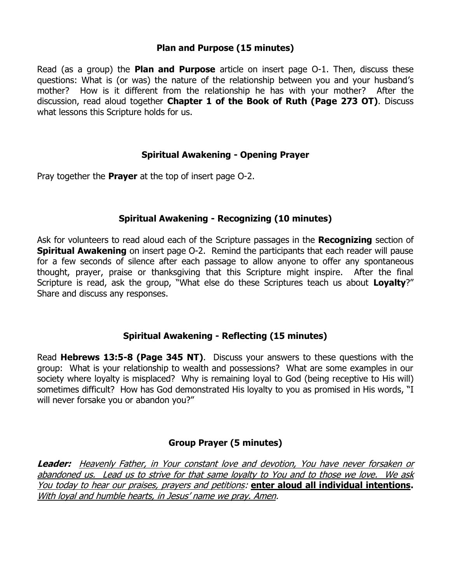## **Plan and Purpose (15 minutes)**

Read (as a group) the **Plan and Purpose** article on insert page O-1. Then, discuss these questions: What is (or was) the nature of the relationship between you and your husband's mother? How is it different from the relationship he has with your mother? After the discussion, read aloud together **Chapter 1 of the Book of Ruth (Page 273 OT)**. Discuss what lessons this Scripture holds for us.

#### **Spiritual Awakening - Opening Prayer**

Pray together the **Prayer** at the top of insert page O-2.

#### **Spiritual Awakening - Recognizing (10 minutes)**

Ask for volunteers to read aloud each of the Scripture passages in the **Recognizing** section of **Spiritual Awakening** on insert page O-2. Remind the participants that each reader will pause for a few seconds of silence after each passage to allow anyone to offer any spontaneous thought, prayer, praise or thanksgiving that this Scripture might inspire. After the final Scripture is read, ask the group, "What else do these Scriptures teach us about **Loyalty**?" Share and discuss any responses.

## **Spiritual Awakening - Reflecting (15 minutes)**

Read **Hebrews 13:5-8 (Page 345 NT)**. Discuss your answers to these questions with the group: What is your relationship to wealth and possessions? What are some examples in our society where loyalty is misplaced? Why is remaining loyal to God (being receptive to His will) sometimes difficult? How has God demonstrated His loyalty to you as promised in His words, "I will never forsake you or abandon you?"

## **Group Prayer (5 minutes)**

**Leader:** Heavenly Father, in Your constant love and devotion, You have never forsaken or abandoned us. Lead us to strive for that same loyalty to You and to those we love. We ask You today to hear our praises, prayers and petitions: **enter aloud all individual intentions.**  With loyal and humble hearts, in Jesus' name we pray. Amen.